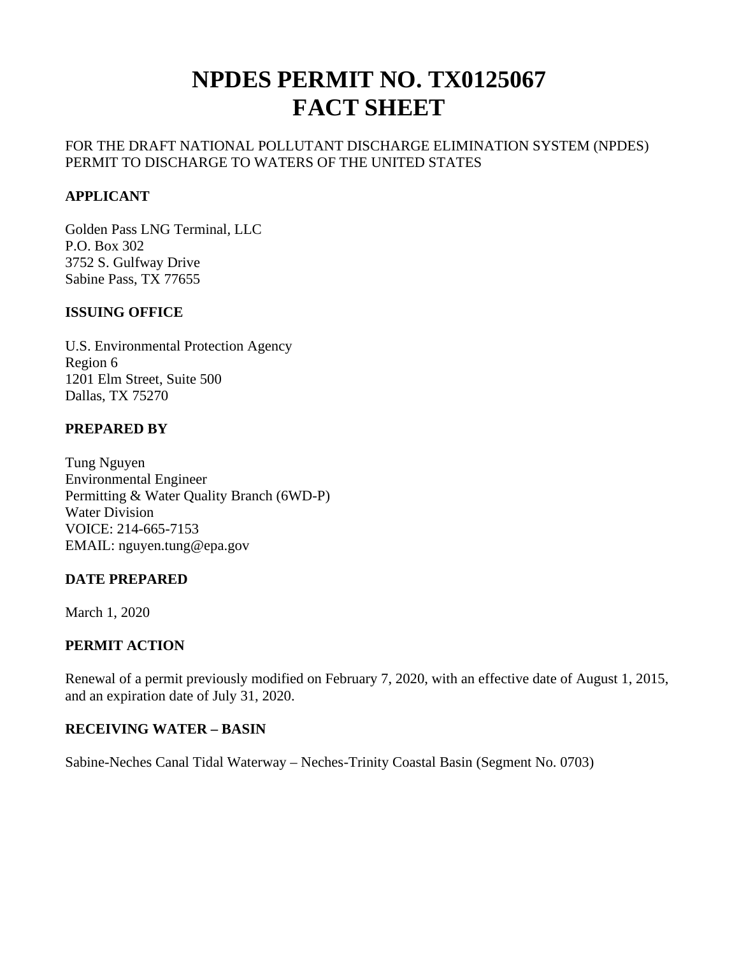# **NPDES PERMIT NO. TX0125067 FACT SHEET**

#### FOR THE DRAFT NATIONAL POLLUTANT DISCHARGE ELIMINATION SYSTEM (NPDES) PERMIT TO DISCHARGE TO WATERS OF THE UNITED STATES

#### **APPLICANT**

Golden Pass LNG Terminal, LLC P.O. Box 302 3752 S. Gulfway Drive Sabine Pass, TX 77655

#### **ISSUING OFFICE**

U.S. Environmental Protection Agency Region 6 1201 Elm Street, Suite 500 Dallas, TX 75270

#### **PREPARED BY**

Tung Nguyen Environmental Engineer Permitting & Water Quality Branch (6WD-P) Water Division VOICE: 214-665-7153 EMAIL: nguyen.tung@epa.gov

#### **DATE PREPARED**

March 1, 2020

#### **PERMIT ACTION**

Renewal of a permit previously modified on February 7, 2020, with an effective date of August 1, 2015, and an expiration date of July 31, 2020.

#### **RECEIVING WATER – BASIN**

Sabine-Neches Canal Tidal Waterway – Neches-Trinity Coastal Basin (Segment No. 0703)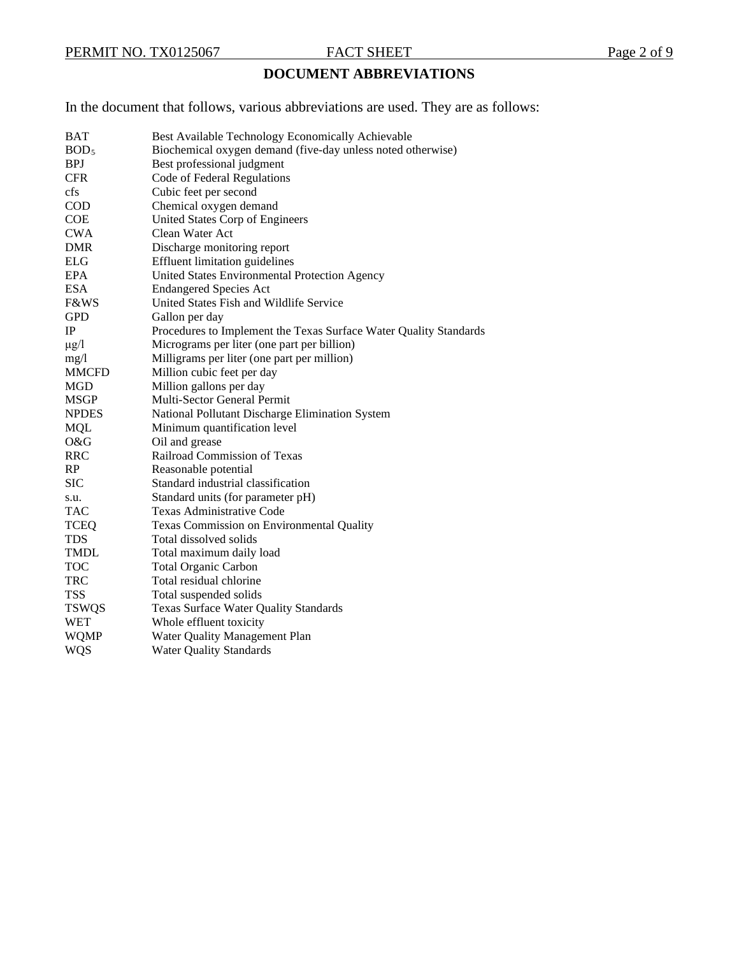## **DOCUMENT ABBREVIATIONS**

In the document that follows, various abbreviations are used. They are as follows:

| <b>BAT</b>       | Best Available Technology Economically Achievable                 |
|------------------|-------------------------------------------------------------------|
| BOD <sub>5</sub> | Biochemical oxygen demand (five-day unless noted otherwise)       |
| <b>BPJ</b>       | Best professional judgment                                        |
| <b>CFR</b>       | Code of Federal Regulations                                       |
| cfs              | Cubic feet per second                                             |
| <b>COD</b>       | Chemical oxygen demand                                            |
| <b>COE</b>       | United States Corp of Engineers                                   |
| <b>CWA</b>       | Clean Water Act                                                   |
| <b>DMR</b>       | Discharge monitoring report                                       |
| <b>ELG</b>       | <b>Effluent limitation guidelines</b>                             |
| EPA              | United States Environmental Protection Agency                     |
| <b>ESA</b>       | <b>Endangered Species Act</b>                                     |
| F&WS             | United States Fish and Wildlife Service                           |
| <b>GPD</b>       | Gallon per day                                                    |
| IP               | Procedures to Implement the Texas Surface Water Quality Standards |
| $\mu$ g/l        | Micrograms per liter (one part per billion)                       |
| mg/1             | Milligrams per liter (one part per million)                       |
| <b>MMCFD</b>     | Million cubic feet per day                                        |
| <b>MGD</b>       | Million gallons per day                                           |
| <b>MSGP</b>      | Multi-Sector General Permit                                       |
| <b>NPDES</b>     | National Pollutant Discharge Elimination System                   |
| <b>MQL</b>       | Minimum quantification level                                      |
| O&G              | Oil and grease                                                    |
| <b>RRC</b>       | Railroad Commission of Texas                                      |
| RP               | Reasonable potential                                              |
| <b>SIC</b>       | Standard industrial classification                                |
| s.u.             | Standard units (for parameter pH)                                 |
| <b>TAC</b>       | <b>Texas Administrative Code</b>                                  |
| <b>TCEQ</b>      | Texas Commission on Environmental Quality                         |
| <b>TDS</b>       | Total dissolved solids                                            |
| <b>TMDL</b>      | Total maximum daily load                                          |
| <b>TOC</b>       | <b>Total Organic Carbon</b>                                       |
| <b>TRC</b>       | Total residual chlorine                                           |
| <b>TSS</b>       | Total suspended solids                                            |
| <b>TSWQS</b>     | <b>Texas Surface Water Quality Standards</b>                      |
| <b>WET</b>       | Whole effluent toxicity                                           |
| <b>WQMP</b>      | Water Quality Management Plan                                     |
| <b>WQS</b>       | <b>Water Quality Standards</b>                                    |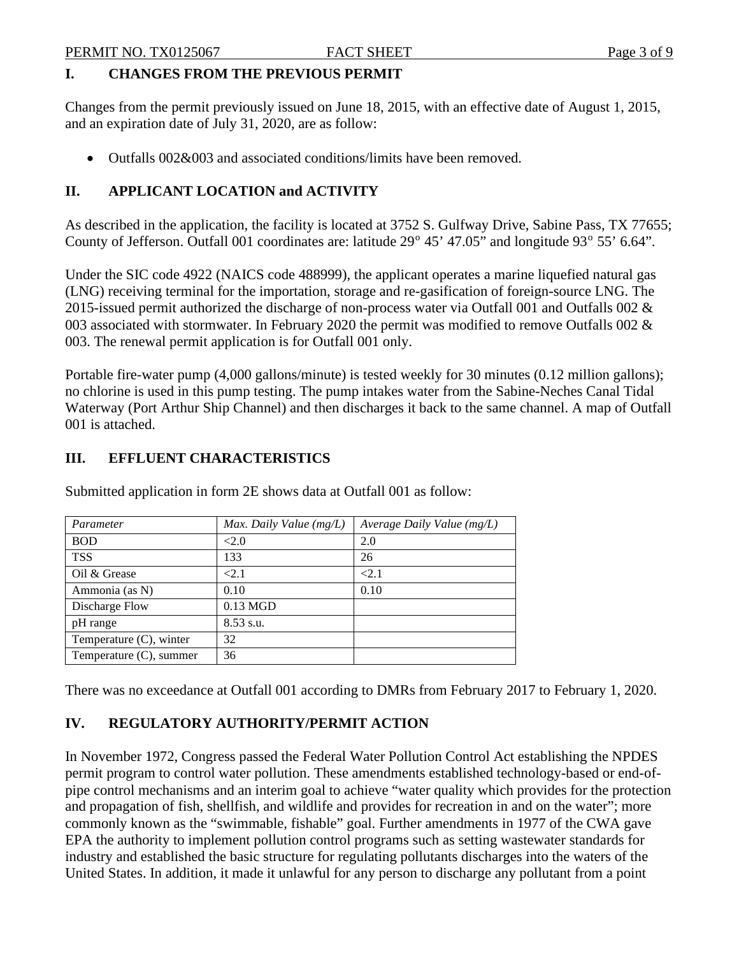#### **I. CHANGES FROM THE PREVIOUS PERMIT**

Changes from the permit previously issued on June 18, 2015, with an effective date of August 1, 2015, and an expiration date of July 31, 2020, are as follow:

• Outfalls 002&003 and associated conditions/limits have been removed.

### **II. APPLICANT LOCATION and ACTIVITY**

As described in the application, the facility is located at 3752 S. Gulfway Drive, Sabine Pass, TX 77655; County of Jefferson. Outfall 001 coordinates are: latitude 29<sup>o</sup> 45' 47.05" and longitude 93<sup>o</sup> 55' 6.64".

Under the SIC code 4922 (NAICS code 488999), the applicant operates a marine liquefied natural gas (LNG) receiving terminal for the importation, storage and re-gasification of foreign-source LNG. The 2015-issued permit authorized the discharge of non-process water via Outfall 001 and Outfalls 002 & 003 associated with stormwater. In February 2020 the permit was modified to remove Outfalls 002 & 003. The renewal permit application is for Outfall 001 only.

Portable fire-water pump (4,000 gallons/minute) is tested weekly for 30 minutes (0.12 million gallons); no chlorine is used in this pump testing. The pump intakes water from the Sabine-Neches Canal Tidal Waterway (Port Arthur Ship Channel) and then discharges it back to the same channel. A map of Outfall 001 is attached.

#### **III. EFFLUENT CHARACTERISTICS**

| Parameter                  | Max. Daily Value $(mg/L)$ | Average Daily Value $(mg/L)$ |
|----------------------------|---------------------------|------------------------------|
| <b>BOD</b>                 | < 2.0                     | 2.0                          |
| <b>TSS</b>                 | 133                       | 26                           |
| Oil & Grease               | < 2.1                     | < 2.1                        |
| Ammonia (as N)             | 0.10                      | 0.10                         |
| Discharge Flow             | $0.13$ MGD                |                              |
| pH range                   | $8.53$ s.u.               |                              |
| Temperature $(C)$ , winter | 32                        |                              |
| Temperature $(C)$ , summer | 36                        |                              |

Submitted application in form 2E shows data at Outfall 001 as follow:

There was no exceedance at Outfall 001 according to DMRs from February 2017 to February 1, 2020.

### **IV. REGULATORY AUTHORITY/PERMIT ACTION**

In November 1972, Congress passed the Federal Water Pollution Control Act establishing the NPDES permit program to control water pollution. These amendments established technology-based or end-ofpipe control mechanisms and an interim goal to achieve "water quality which provides for the protection and propagation of fish, shellfish, and wildlife and provides for recreation in and on the water"; more commonly known as the "swimmable, fishable" goal. Further amendments in 1977 of the CWA gave EPA the authority to implement pollution control programs such as setting wastewater standards for industry and established the basic structure for regulating pollutants discharges into the waters of the United States. In addition, it made it unlawful for any person to discharge any pollutant from a point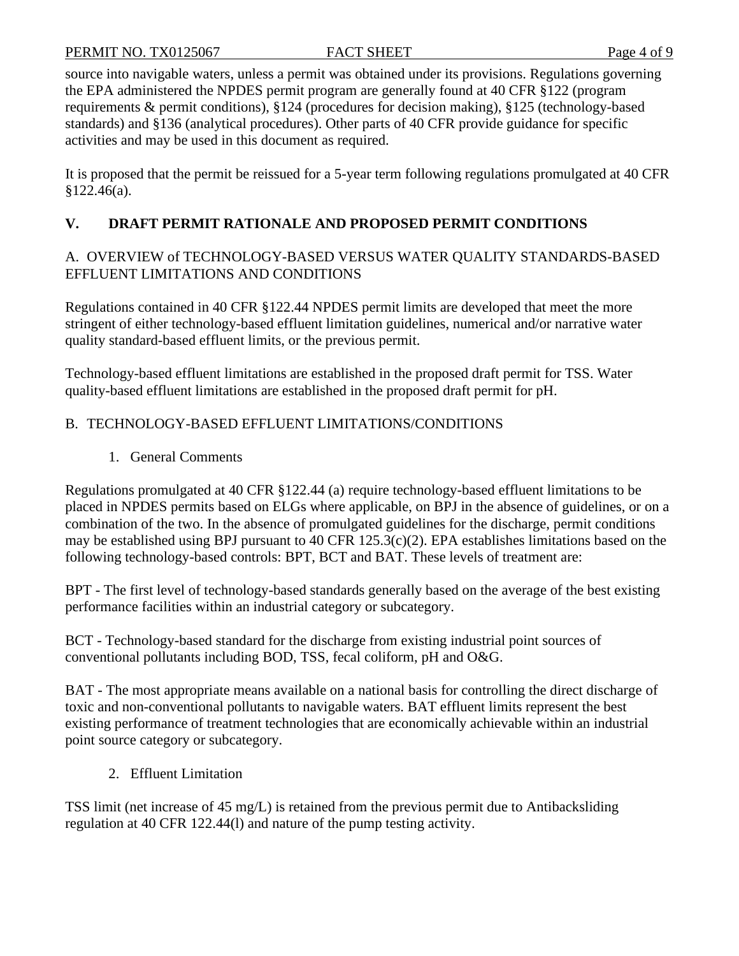source into navigable waters, unless a permit was obtained under its provisions. Regulations governing the EPA administered the NPDES permit program are generally found at 40 CFR §122 (program requirements & permit conditions), §124 (procedures for decision making), §125 (technology-based standards) and §136 (analytical procedures). Other parts of 40 CFR provide guidance for specific activities and may be used in this document as required.

It is proposed that the permit be reissued for a 5-year term following regulations promulgated at 40 CFR §122.46(a).

### **V. DRAFT PERMIT RATIONALE AND PROPOSED PERMIT CONDITIONS**

#### A. OVERVIEW of TECHNOLOGY-BASED VERSUS WATER QUALITY STANDARDS-BASED EFFLUENT LIMITATIONS AND CONDITIONS

Regulations contained in 40 CFR §122.44 NPDES permit limits are developed that meet the more stringent of either technology-based effluent limitation guidelines, numerical and/or narrative water quality standard-based effluent limits, or the previous permit.

Technology-based effluent limitations are established in the proposed draft permit for TSS. Water quality-based effluent limitations are established in the proposed draft permit for pH.

### B. TECHNOLOGY-BASED EFFLUENT LIMITATIONS/CONDITIONS

1. General Comments

Regulations promulgated at 40 CFR §122.44 (a) require technology-based effluent limitations to be placed in NPDES permits based on ELGs where applicable, on BPJ in the absence of guidelines, or on a combination of the two. In the absence of promulgated guidelines for the discharge, permit conditions may be established using BPJ pursuant to 40 CFR  $125.3(c)(2)$ . EPA establishes limitations based on the following technology-based controls: BPT, BCT and BAT. These levels of treatment are:

BPT - The first level of technology-based standards generally based on the average of the best existing performance facilities within an industrial category or subcategory.

BCT - Technology-based standard for the discharge from existing industrial point sources of conventional pollutants including BOD, TSS, fecal coliform, pH and O&G.

BAT - The most appropriate means available on a national basis for controlling the direct discharge of toxic and non-conventional pollutants to navigable waters. BAT effluent limits represent the best existing performance of treatment technologies that are economically achievable within an industrial point source category or subcategory.

2. Effluent Limitation

TSS limit (net increase of 45 mg/L) is retained from the previous permit due to Antibacksliding regulation at 40 CFR 122.44(l) and nature of the pump testing activity.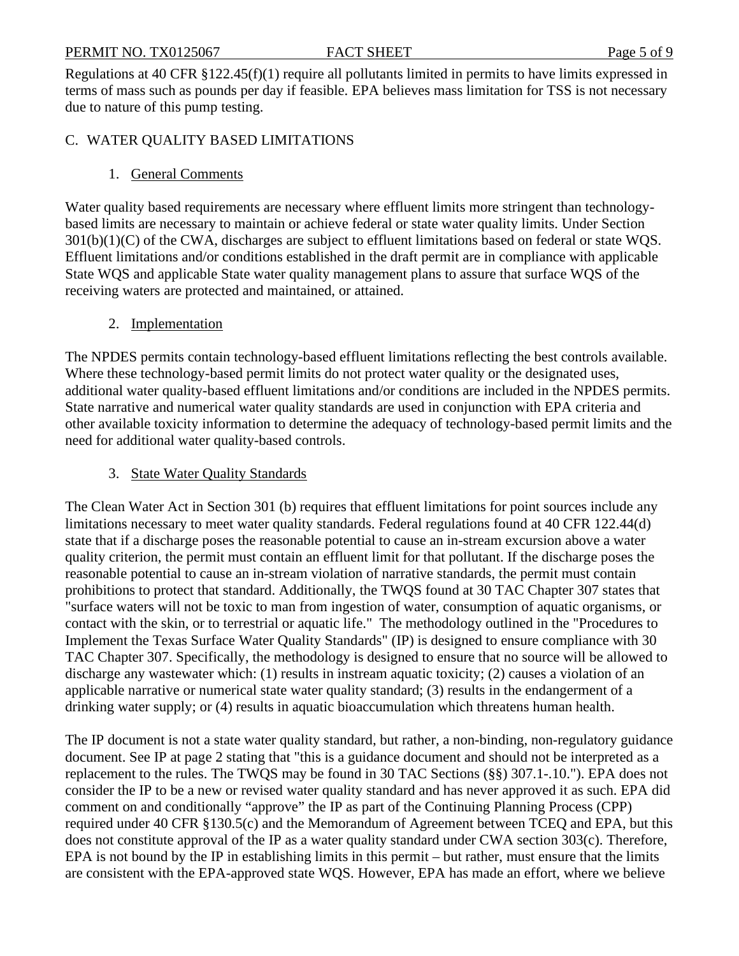#### PERMIT NO. TX0125067 FACT SHEET Page 5 of 9

Regulations at 40 CFR §122.45(f)(1) require all pollutants limited in permits to have limits expressed in terms of mass such as pounds per day if feasible. EPA believes mass limitation for TSS is not necessary due to nature of this pump testing.

#### C. WATER QUALITY BASED LIMITATIONS

#### 1. General Comments

Water quality based requirements are necessary where effluent limits more stringent than technologybased limits are necessary to maintain or achieve federal or state water quality limits. Under Section 301(b)(1)(C) of the CWA, discharges are subject to effluent limitations based on federal or state WQS. Effluent limitations and/or conditions established in the draft permit are in compliance with applicable State WQS and applicable State water quality management plans to assure that surface WQS of the receiving waters are protected and maintained, or attained.

#### 2. Implementation

The NPDES permits contain technology-based effluent limitations reflecting the best controls available. Where these technology-based permit limits do not protect water quality or the designated uses, additional water quality-based effluent limitations and/or conditions are included in the NPDES permits. State narrative and numerical water quality standards are used in conjunction with EPA criteria and other available toxicity information to determine the adequacy of technology-based permit limits and the need for additional water quality-based controls.

#### 3. State Water Quality Standards

The Clean Water Act in Section 301 (b) requires that effluent limitations for point sources include any limitations necessary to meet water quality standards. Federal regulations found at 40 CFR 122.44(d) state that if a discharge poses the reasonable potential to cause an in-stream excursion above a water quality criterion, the permit must contain an effluent limit for that pollutant. If the discharge poses the reasonable potential to cause an in-stream violation of narrative standards, the permit must contain prohibitions to protect that standard. Additionally, the TWQS found at 30 TAC Chapter 307 states that "surface waters will not be toxic to man from ingestion of water, consumption of aquatic organisms, or contact with the skin, or to terrestrial or aquatic life." The methodology outlined in the "Procedures to Implement the Texas Surface Water Quality Standards" (IP) is designed to ensure compliance with 30 TAC Chapter 307. Specifically, the methodology is designed to ensure that no source will be allowed to discharge any wastewater which: (1) results in instream aquatic toxicity; (2) causes a violation of an applicable narrative or numerical state water quality standard; (3) results in the endangerment of a drinking water supply; or (4) results in aquatic bioaccumulation which threatens human health.

The IP document is not a state water quality standard, but rather, a non-binding, non-regulatory guidance document. See IP at page 2 stating that "this is a guidance document and should not be interpreted as a replacement to the rules. The TWQS may be found in 30 TAC Sections (§§) 307.1-.10."). EPA does not consider the IP to be a new or revised water quality standard and has never approved it as such. EPA did comment on and conditionally "approve" the IP as part of the Continuing Planning Process (CPP) required under 40 CFR §130.5(c) and the Memorandum of Agreement between TCEQ and EPA, but this does not constitute approval of the IP as a water quality standard under CWA section 303(c). Therefore, EPA is not bound by the IP in establishing limits in this permit – but rather, must ensure that the limits are consistent with the EPA-approved state WQS. However, EPA has made an effort, where we believe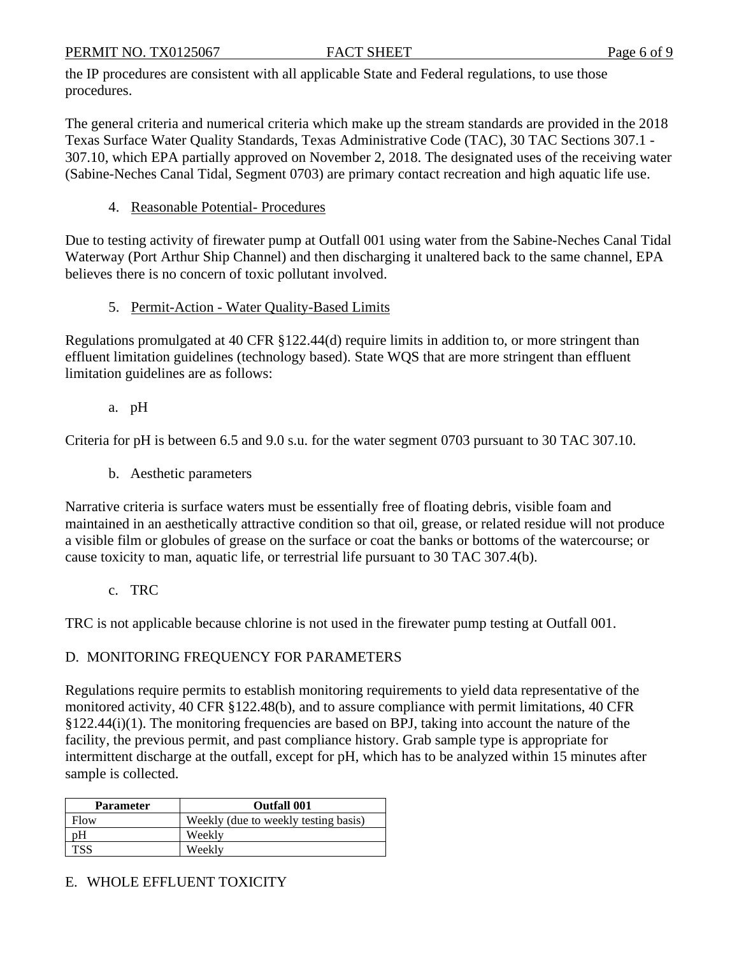PERMIT NO. TX0125067 FACT SHEET Page 6 of 9

the IP procedures are consistent with all applicable State and Federal regulations, to use those procedures.

The general criteria and numerical criteria which make up the stream standards are provided in the 2018 Texas Surface Water Quality Standards, Texas Administrative Code (TAC), 30 TAC Sections 307.1 - 307.10, which EPA partially approved on November 2, 2018. The designated uses of the receiving water (Sabine-Neches Canal Tidal, Segment 0703) are primary contact recreation and high aquatic life use.

4. Reasonable Potential-Procedures

Due to testing activity of firewater pump at Outfall 001 using water from the Sabine-Neches Canal Tidal Waterway (Port Arthur Ship Channel) and then discharging it unaltered back to the same channel, EPA believes there is no concern of toxic pollutant involved.

5. Permit-Action - Water Ouality-Based Limits

Regulations promulgated at 40 CFR §122.44(d) require limits in addition to, or more stringent than effluent limitation guidelines (technology based). State WQS that are more stringent than effluent limitation guidelines are as follows:

a. pH

Criteria for pH is between 6.5 and 9.0 s.u. for the water segment 0703 pursuant to 30 TAC 307.10.

b. Aesthetic parameters

Narrative criteria is surface waters must be essentially free of floating debris, visible foam and maintained in an aesthetically attractive condition so that oil, grease, or related residue will not produce a visible film or globules of grease on the surface or coat the banks or bottoms of the watercourse; or cause toxicity to man, aquatic life, or terrestrial life pursuant to 30 TAC 307.4(b).

c. TRC

TRC is not applicable because chlorine is not used in the firewater pump testing at Outfall 001.

#### D. MONITORING FREQUENCY FOR PARAMETERS

Regulations require permits to establish monitoring requirements to yield data representative of the monitored activity, 40 CFR §122.48(b), and to assure compliance with permit limitations, 40 CFR §122.44(i)(1). The monitoring frequencies are based on BPJ, taking into account the nature of the facility, the previous permit, and past compliance history. Grab sample type is appropriate for intermittent discharge at the outfall, except for pH, which has to be analyzed within 15 minutes after sample is collected.

| <b>Parameter</b> | <b>Outfall 001</b>                   |
|------------------|--------------------------------------|
| Flow             | Weekly (due to weekly testing basis) |
| pΗ               | Weekly                               |
| <b>TSS</b>       | Weekly                               |

### E. WHOLE EFFLUENT TOXICITY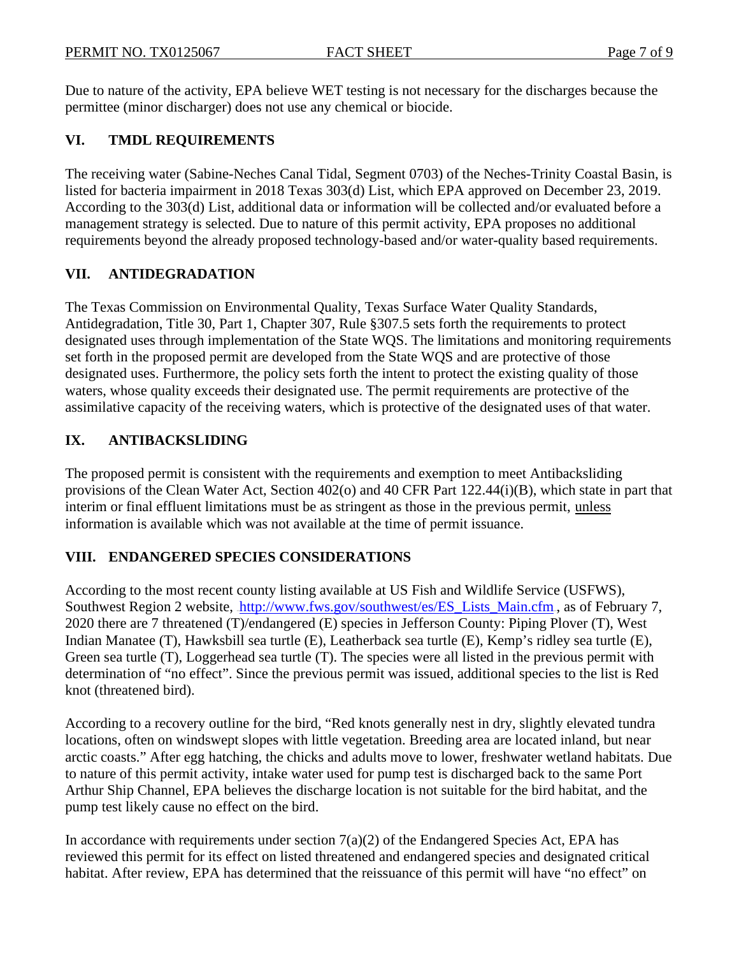Due to nature of the activity, EPA believe WET testing is not necessary for the discharges because the permittee (minor discharger) does not use any chemical or biocide.

#### **VI. TMDL REQUIREMENTS**

The receiving water (Sabine-Neches Canal Tidal, Segment 0703) of the Neches-Trinity Coastal Basin, is listed for bacteria impairment in 2018 Texas 303(d) List, which EPA approved on December 23, 2019. According to the 303(d) List, additional data or information will be collected and/or evaluated before a management strategy is selected. Due to nature of this permit activity, EPA proposes no additional requirements beyond the already proposed technology-based and/or water-quality based requirements.

#### **VII. ANTIDEGRADATION**

The Texas Commission on Environmental Quality, Texas Surface Water Quality Standards, Antidegradation, Title 30, Part 1, Chapter 307, Rule §307.5 sets forth the requirements to protect designated uses through implementation of the State WQS. The limitations and monitoring requirements set forth in the proposed permit are developed from the State WQS and are protective of those designated uses. Furthermore, the policy sets forth the intent to protect the existing quality of those waters, whose quality exceeds their designated use. The permit requirements are protective of the assimilative capacity of the receiving waters, which is protective of the designated uses of that water.

#### **IX. ANTIBACKSLIDING**

The proposed permit is consistent with the requirements and exemption to meet Antibacksliding provisions of the Clean Water Act, Section 402(o) and 40 CFR Part 122.44(i)(B), which state in part that interim or final effluent limitations must be as stringent as those in the previous permit, unless information is available which was not available at the time of permit issuance.

#### **VIII. ENDANGERED SPECIES CONSIDERATIONS**

According to the most recent county listing available at US Fish and Wildlife Service (USFWS), Southwest Region 2 website, [http://www.fws.gov/southwest/es/ES\\_Lists\\_Main.cfm](http://www.fws.gov/southwest/es/ES_Lists_Main.cfm)., as of February 7, 2020 there are 7 threatened (T)/endangered (E) species in Jefferson County: Piping Plover (T), West Indian Manatee (T), Hawksbill sea turtle (E), Leatherback sea turtle (E), Kemp's ridley sea turtle (E), Green sea turtle (T), Loggerhead sea turtle (T). The species were all listed in the previous permit with determination of "no effect". Since the previous permit was issued, additional species to the list is Red knot (threatened bird).

According to a recovery outline for the bird, "Red knots generally nest in dry, slightly elevated tundra locations, often on windswept slopes with little vegetation. Breeding area are located inland, but near arctic coasts." After egg hatching, the chicks and adults move to lower, freshwater wetland habitats. Due to nature of this permit activity, intake water used for pump test is discharged back to the same Port Arthur Ship Channel, EPA believes the discharge location is not suitable for the bird habitat, and the pump test likely cause no effect on the bird.

In accordance with requirements under section  $7(a)(2)$  of the Endangered Species Act, EPA has reviewed this permit for its effect on listed threatened and endangered species and designated critical habitat. After review, EPA has determined that the reissuance of this permit will have "no effect" on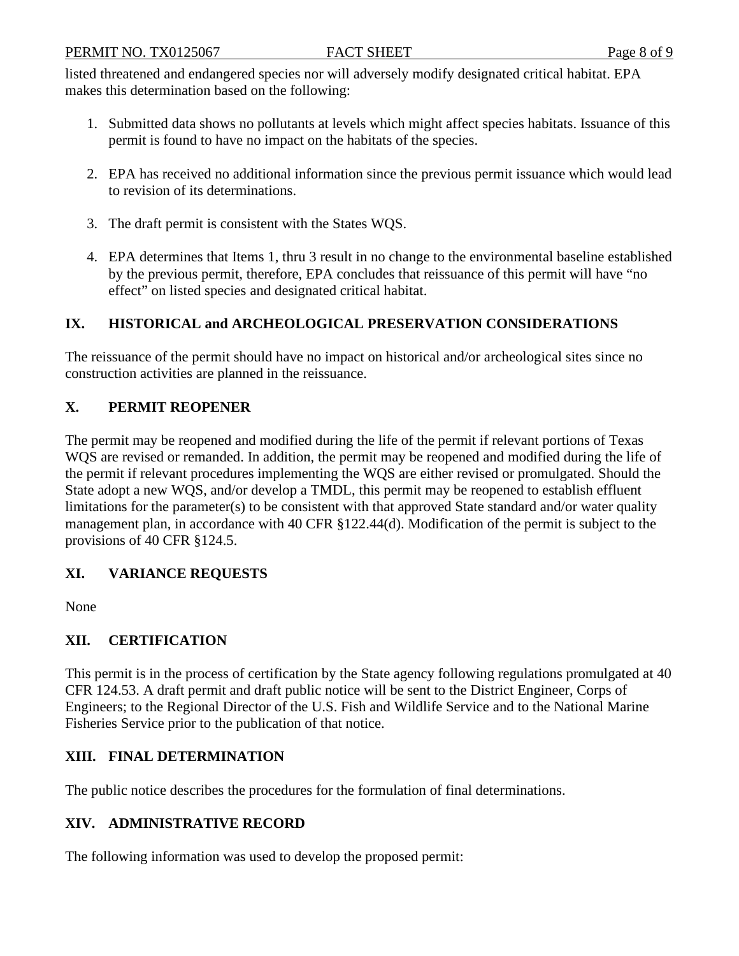listed threatened and endangered species nor will adversely modify designated critical habitat. EPA makes this determination based on the following:

- 1. Submitted data shows no pollutants at levels which might affect species habitats. Issuance of this permit is found to have no impact on the habitats of the species.
- 2. EPA has received no additional information since the previous permit issuance which would lead to revision of its determinations.
- 3. The draft permit is consistent with the States WQS.
- 4. EPA determines that Items 1, thru 3 result in no change to the environmental baseline established by the previous permit, therefore, EPA concludes that reissuance of this permit will have "no effect" on listed species and designated critical habitat.

#### **IX. HISTORICAL and ARCHEOLOGICAL PRESERVATION CONSIDERATIONS**

The reissuance of the permit should have no impact on historical and/or archeological sites since no construction activities are planned in the reissuance.

#### **X. PERMIT REOPENER**

The permit may be reopened and modified during the life of the permit if relevant portions of Texas WQS are revised or remanded. In addition, the permit may be reopened and modified during the life of the permit if relevant procedures implementing the WQS are either revised or promulgated. Should the State adopt a new WQS, and/or develop a TMDL, this permit may be reopened to establish effluent limitations for the parameter(s) to be consistent with that approved State standard and/or water quality management plan, in accordance with 40 CFR §122.44(d). Modification of the permit is subject to the provisions of 40 CFR §124.5.

### **XI. VARIANCE REQUESTS**

None

### **XII. CERTIFICATION**

This permit is in the process of certification by the State agency following regulations promulgated at 40 CFR 124.53. A draft permit and draft public notice will be sent to the District Engineer, Corps of Engineers; to the Regional Director of the U.S. Fish and Wildlife Service and to the National Marine Fisheries Service prior to the publication of that notice.

#### **XIII. FINAL DETERMINATION**

The public notice describes the procedures for the formulation of final determinations.

#### **XIV. ADMINISTRATIVE RECORD**

The following information was used to develop the proposed permit: